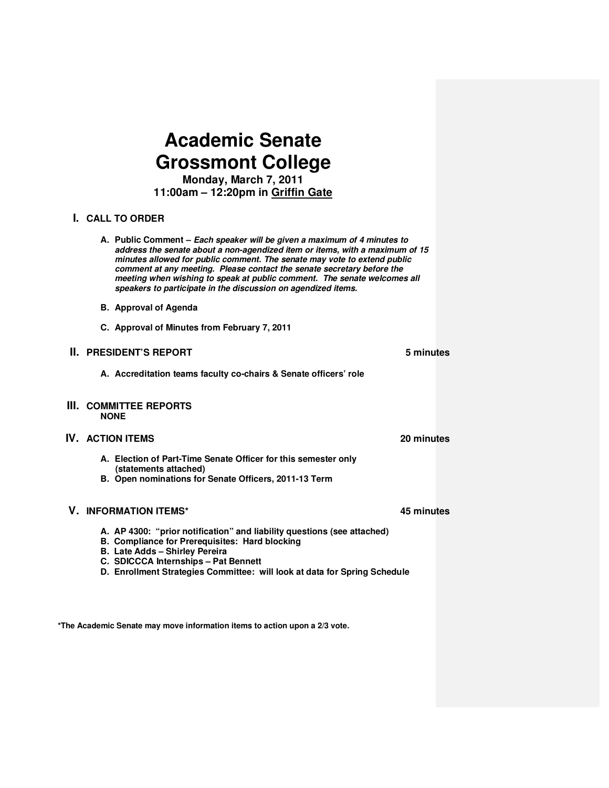# **Academic Senate Grossmont College**

**Monday, March 7, 2011 11:00am – 12:20pm in Griffin Gate**

# **I. CALL TO ORDER**

- **A. Public Comment** *Each speaker will be given a maximum of 4 minutes to address the senate about a non-agendized item or items, with a maximum of 15 minutes allowed for public comment. The senate may vote to extend public comment at any meeting. Please contact the senate secretary before the meeting when wishing to speak at public comment. The senate welcomes all speakers to participate in the discussion on agendized items.*
- **B. Approval of Agenda**
- **C. Approval of Minutes from February 7, 2011**

## **II. PRESIDENT'S REPORT 5 minutes 5 minutes**

**A. Accreditation teams faculty co-chairs & Senate officers' role** 

#### **III. COMMITTEE REPORTS NONE**

# **IV. ACTION ITEMS 20 minutes**

- **A. Election of Part-Time Senate Officer for this semester only (statements attached)**
- **B. Open nominations for Senate Officers, 2011-13 Term**

# **V. INFORMATION ITEMS\* 45 minutes**

- **A. AP 4300: "prior notification" and liability questions (see attached)**
- **B. Compliance for Prerequisites: Hard blocking**
- **B. Late Adds Shirley Pereira**
- **C. SDICCCA Internships Pat Bennett**
- **D. Enrollment Strategies Committee: will look at data for Spring Schedule**

**\*The Academic Senate may move information items to action upon a 2/3 vote.**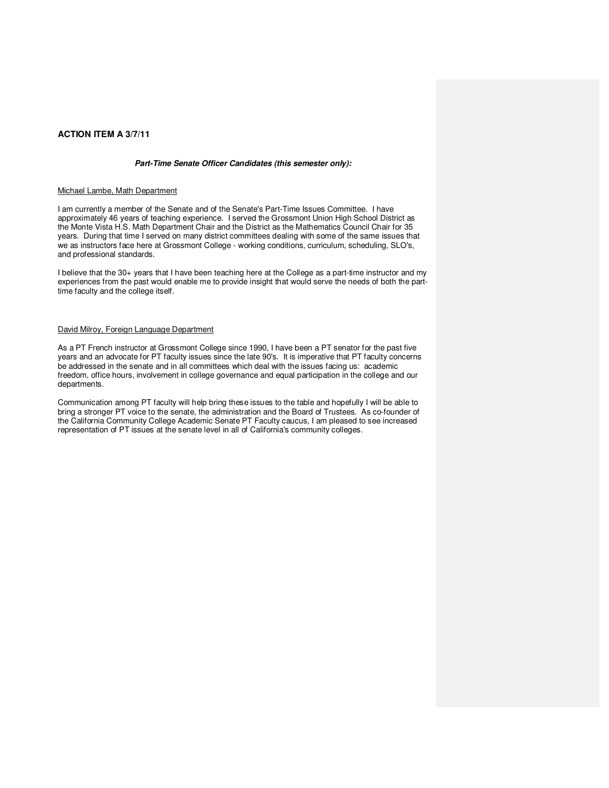### **ACTION ITEM A 3/7/11**

#### *Part-Time Senate Officer Candidates (this semester only):*

#### Michael Lambe, Math Department

I am currently a member of the Senate and of the Senate's Part-Time Issues Committee. I have approximately 46 years of teaching experience. I served the Grossmont Union High School District as the Monte Vista H.S. Math Department Chair and the District as the Mathematics Council Chair for 35 years. During that time I served on many district committees dealing with some of the same issues that we as instructors face here at Grossmont College - working conditions, curriculum, scheduling, SLO's, and professional standards.

I believe that the 30+ years that I have been teaching here at the College as a part-time instructor and my experiences from the past would enable me to provide insight that would serve the needs of both the parttime faculty and the college itself.

#### David Milroy, Foreign Language Department

As a PT French instructor at Grossmont College since 1990, I have been a PT senator for the past five years and an advocate for PT faculty issues since the late 90's. It is imperative that PT faculty concerns be addressed in the senate and in all committees which deal with the issues facing us: academic freedom, office hours, involvement in college governance and equal participation in the college and our departments.

Communication among PT faculty will help bring these issues to the table and hopefully I will be able to bring a stronger PT voice to the senate, the administration and the Board of Trustees. As co-founder of the California Community College Academic Senate PT Faculty caucus, I am pleased to see increased representation of PT issues at the senate level in all of California's community colleges.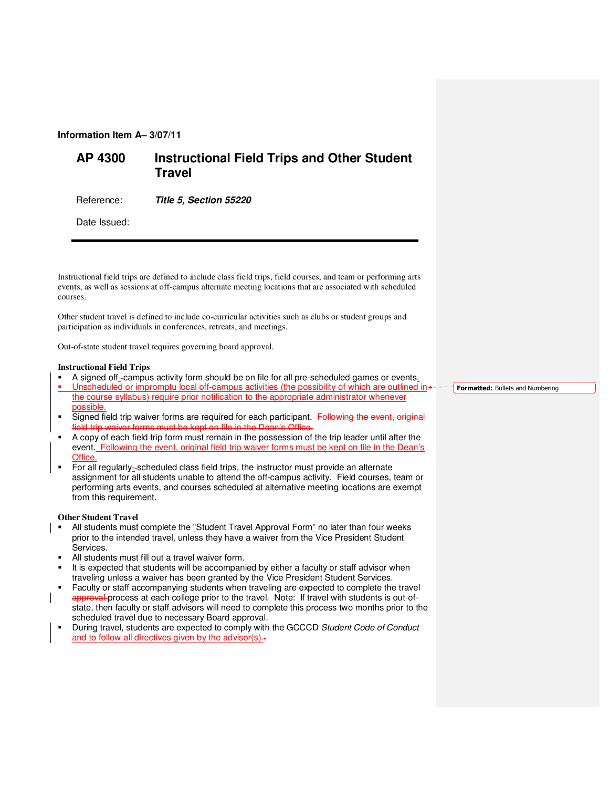# **Information Item A– 3/07/11**

# **AP 4300 Instructional Field Trips and Other Student Travel**

Reference: *Title 5, Section 55220*

Date Issued:

Instructional field trips are defined to include class field trips, field courses, and team or performing arts events, as well as sessions at off-campus alternate meeting locations that are associated with scheduled courses.

Other student travel is defined to include co-curricular activities such as clubs or student groups and participation as individuals in conferences, retreats, and meetings.

Out-of-state student travel requires governing board approval.

#### **Instructional Field Trips**

- A signed off-campus activity form should be on file for all pre-scheduled games or events.
- Unscheduled or impromptu local off-campus activities (the possibility of which are outlined in the course syllabus) require prior notification to the appropriate administrator whenever possible.
- Signed field trip waiver forms are required for each participant. Following the event, original field trip waiver forms must be kept on file in the Dean's Office.
- A copy of each field trip form must remain in the possession of the trip leader until after the event. Following the event, original field trip waiver forms must be kept on file in the Dean's Office.
- For all regularly- scheduled class field trips, the instructor must provide an alternate assignment for all students unable to attend the off-campus activity. Field courses, team or performing arts events, and courses scheduled at alternative meeting locations are exempt from this requirement.

#### **Other Student Travel**

- All students must complete the "Student Travel Approval Form" no later than four weeks prior to the intended travel, unless they have a waiver from the Vice President Student Services.
- All students must fill out a travel waiver form.
- It is expected that students will be accompanied by either a faculty or staff advisor when traveling unless a waiver has been granted by the Vice President Student Services.
- Faculty or staff accompanying students when traveling are expected to complete the travel approval process at each college prior to the travel. Note: If travel with students is out-ofstate, then faculty or staff advisors will need to complete this process two months prior to the scheduled travel due to necessary Board approval.
- During travel, students are expected to comply with the GCCCD Student Code of Conduct and to follow all directives given by the advisor(s)...

**Formatted:** Bullets and Numbering